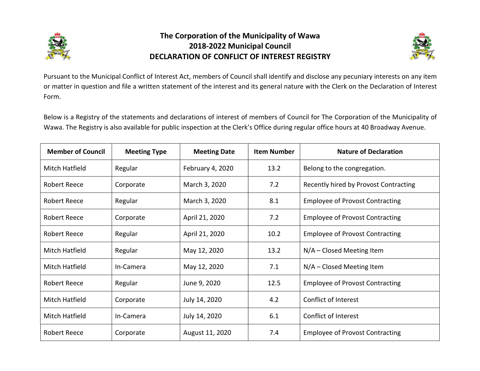

## The Corporation of the Municipality of Wawa 2018-2022 Municipal Council DECLARATION OF CONFLICT OF INTEREST REGISTRY



Pursuant to the Municipal Conflict of Interest Act, members of Council shall identify and disclose any pecuniary interests on any item or matter in question and file a written statement of the interest and its general nature with the Clerk on the Declaration of Interest Form.

Below is a Registry of the statements and declarations of interest of members of Council for The Corporation of the Municipality of Wawa. The Registry is also available for public inspection at the Clerk's Office during regular office hours at 40 Broadway Avenue.

| <b>Member of Council</b> | <b>Meeting Type</b> | <b>Meeting Date</b> | <b>Item Number</b> | <b>Nature of Declaration</b>           |
|--------------------------|---------------------|---------------------|--------------------|----------------------------------------|
| Mitch Hatfield           | Regular             | February 4, 2020    | 13.2               | Belong to the congregation.            |
| Robert Reece             | Corporate           | March 3, 2020       | 7.2                | Recently hired by Provost Contracting  |
| Robert Reece             | Regular             | March 3, 2020       | 8.1                | <b>Employee of Provost Contracting</b> |
| <b>Robert Reece</b>      | Corporate           | April 21, 2020      | 7.2                | <b>Employee of Provost Contracting</b> |
| <b>Robert Reece</b>      | Regular             | April 21, 2020      | 10.2               | <b>Employee of Provost Contracting</b> |
| Mitch Hatfield           | Regular             | May 12, 2020        | 13.2               | $N/A$ – Closed Meeting Item            |
| Mitch Hatfield           | In-Camera           | May 12, 2020        | 7.1                | $N/A$ – Closed Meeting Item            |
| <b>Robert Reece</b>      | Regular             | June 9, 2020        | 12.5               | <b>Employee of Provost Contracting</b> |
| Mitch Hatfield           | Corporate           | July 14, 2020       | 4.2                | Conflict of Interest                   |
| Mitch Hatfield           | In-Camera           | July 14, 2020       | 6.1                | Conflict of Interest                   |
| <b>Robert Reece</b>      | Corporate           | August 11, 2020     | 7.4                | <b>Employee of Provost Contracting</b> |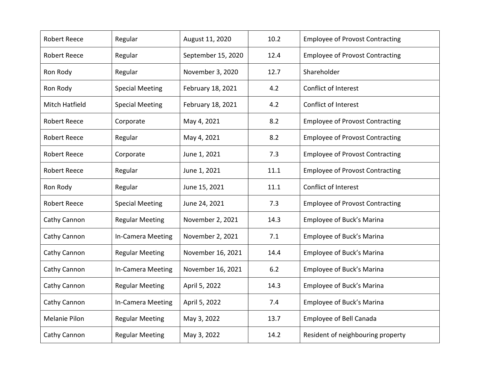| <b>Robert Reece</b>   | Regular                | August 11, 2020    | 10.2 | <b>Employee of Provost Contracting</b> |
|-----------------------|------------------------|--------------------|------|----------------------------------------|
| <b>Robert Reece</b>   | Regular                | September 15, 2020 | 12.4 | <b>Employee of Provost Contracting</b> |
| Ron Rody              | Regular                | November 3, 2020   | 12.7 | Shareholder                            |
| Ron Rody              | <b>Special Meeting</b> | February 18, 2021  | 4.2  | Conflict of Interest                   |
| <b>Mitch Hatfield</b> | <b>Special Meeting</b> | February 18, 2021  | 4.2  | Conflict of Interest                   |
| <b>Robert Reece</b>   | Corporate              | May 4, 2021        | 8.2  | <b>Employee of Provost Contracting</b> |
| <b>Robert Reece</b>   | Regular                | May 4, 2021        | 8.2  | <b>Employee of Provost Contracting</b> |
| <b>Robert Reece</b>   | Corporate              | June 1, 2021       | 7.3  | <b>Employee of Provost Contracting</b> |
| <b>Robert Reece</b>   | Regular                | June 1, 2021       | 11.1 | <b>Employee of Provost Contracting</b> |
| Ron Rody              | Regular                | June 15, 2021      | 11.1 | <b>Conflict of Interest</b>            |
| <b>Robert Reece</b>   | <b>Special Meeting</b> | June 24, 2021      | 7.3  | <b>Employee of Provost Contracting</b> |
| Cathy Cannon          | <b>Regular Meeting</b> | November 2, 2021   | 14.3 | Employee of Buck's Marina              |
| Cathy Cannon          | In-Camera Meeting      | November 2, 2021   | 7.1  | Employee of Buck's Marina              |
| Cathy Cannon          | <b>Regular Meeting</b> | November 16, 2021  | 14.4 | Employee of Buck's Marina              |
| Cathy Cannon          | In-Camera Meeting      | November 16, 2021  | 6.2  | Employee of Buck's Marina              |
| Cathy Cannon          | <b>Regular Meeting</b> | April 5, 2022      | 14.3 | Employee of Buck's Marina              |
| Cathy Cannon          | In-Camera Meeting      | April 5, 2022      | 7.4  | Employee of Buck's Marina              |
| Melanie Pilon         | <b>Regular Meeting</b> | May 3, 2022        | 13.7 | <b>Employee of Bell Canada</b>         |
| Cathy Cannon          | <b>Regular Meeting</b> | May 3, 2022        | 14.2 | Resident of neighbouring property      |